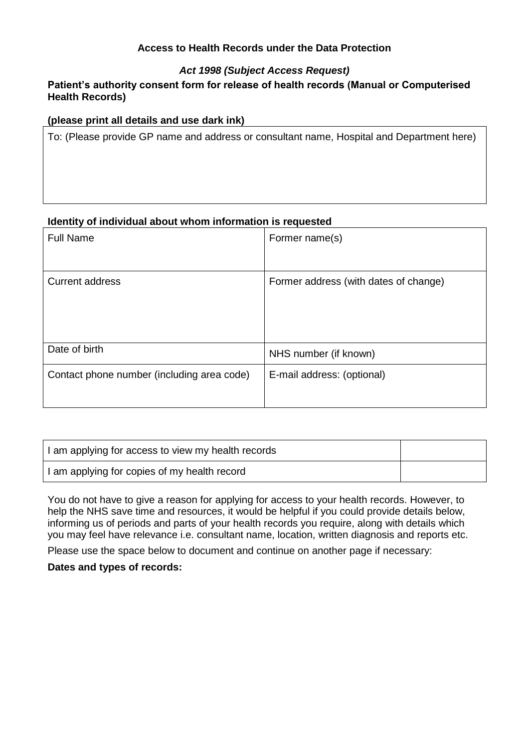## **Access to Health Records under the Data Protection**

# *Act 1998 (Subject Access Request)*

### **Patient's authority consent form for release of health records (Manual or Computerised Health Records)**

### **(please print all details and use dark ink)**

To: (Please provide GP name and address or consultant name, Hospital and Department here)

#### **Identity of individual about whom information is requested**

| <b>Full Name</b>                           | Former name(s)                        |
|--------------------------------------------|---------------------------------------|
| <b>Current address</b>                     | Former address (with dates of change) |
| Date of birth                              | NHS number (if known)                 |
| Contact phone number (including area code) | E-mail address: (optional)            |

| I am applying for access to view my health records |  |
|----------------------------------------------------|--|
| I am applying for copies of my health record       |  |

You do not have to give a reason for applying for access to your health records. However, to help the NHS save time and resources, it would be helpful if you could provide details below, informing us of periods and parts of your health records you require, along with details which you may feel have relevance i.e. consultant name, location, written diagnosis and reports etc.

Please use the space below to document and continue on another page if necessary:

**Dates and types of records:**